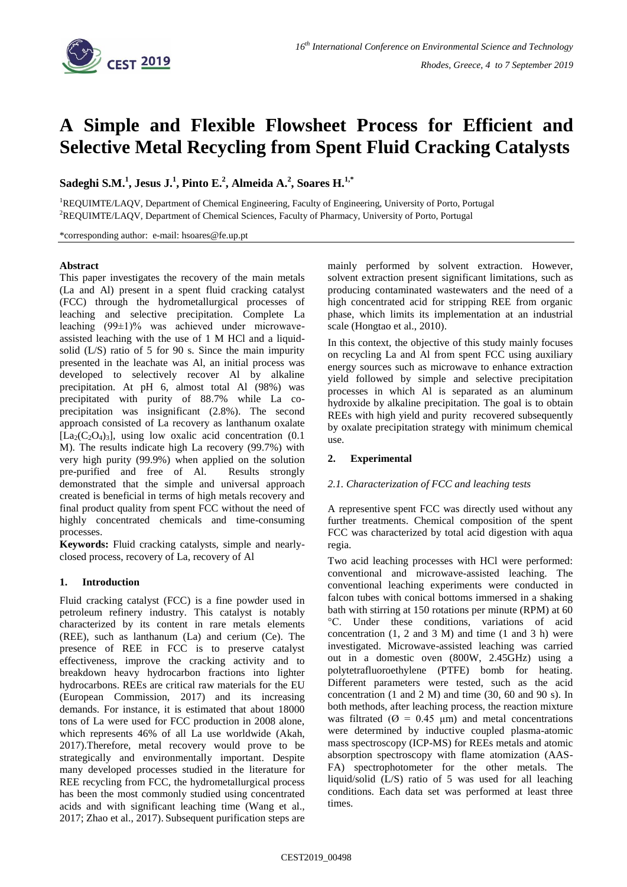

# **A Simple and Flexible Flowsheet Process for Efficient and Selective Metal Recycling from Spent Fluid Cracking Catalysts**

**Sadeghi S.M. 1 , Jesus J.<sup>1</sup> , Pinto E.<sup>2</sup> , Almeida A.<sup>2</sup> , Soares H. 1,\***

<sup>1</sup>REQUIMTE/LAQV, Department of Chemical Engineering, Faculty of Engineering, University of Porto, Portugal <sup>2</sup>REQUIMTE/LAQV, Department of Chemical Sciences, Faculty of Pharmacy, University of Porto, Portugal

\*corresponding author: e-mail: hsoares@fe.up.pt

## **Abstract**

This paper investigates the recovery of the main metals (La and Al) present in a spent fluid cracking catalyst (FCC) through the hydrometallurgical processes of leaching and selective precipitation. Complete La leaching (99±1)% was achieved under microwaveassisted leaching with the use of 1 M HCl and a liquidsolid (L/S) ratio of 5 for 90 s. Since the main impurity presented in the leachate was Al, an initial process was developed to selectively recover Al by alkaline precipitation. At pH 6, almost total Al (98%) was precipitated with purity of 88.7% while La coprecipitation was insignificant (2.8%). The second approach consisted of La recovery as lanthanum oxalate  $[La_2(C_2O_4)_3]$ , using low oxalic acid concentration (0.1) M). The results indicate high La recovery (99.7%) with very high purity (99.9%) when applied on the solution pre-purified and free of Al. Results strongly demonstrated that the simple and universal approach created is beneficial in terms of high metals recovery and final product quality from spent FCC without the need of highly concentrated chemicals and time-consuming processes.

**Keywords:** Fluid cracking catalysts, simple and nearlyclosed process, recovery of La, recovery of Al

# **1. Introduction**

Fluid cracking catalyst (FCC) is a fine powder used in petroleum refinery industry. This catalyst is notably characterized by its content in rare metals elements (REE), such as lanthanum (La) and cerium (Ce). The presence of REE in FCC is to preserve catalyst effectiveness, improve the cracking activity and to breakdown heavy hydrocarbon fractions into lighter hydrocarbons. REEs are critical raw materials for the EU (European Commission, 2017) and its increasing demands. For instance, it is estimated that about 18000 tons of La were used for FCC production in 2008 alone, which represents 46% of all La use worldwide (Akah, 2017).Therefore, metal recovery would prove to be strategically and environmentally important. Despite many developed processes studied in the literature for REE recycling from FCC, the hydrometallurgical process has been the most commonly studied using concentrated acids and with significant leaching time (Wang et al., 2017; Zhao et al., 2017). Subsequent purification steps are mainly performed by solvent extraction. However, solvent extraction present significant limitations, such as producing contaminated wastewaters and the need of a high concentrated acid for stripping REE from organic phase, which limits its implementation at an industrial scale (Hongtao et al., 2010).

In this context, the objective of this study mainly focuses on recycling La and Al from spent FCC using auxiliary energy sources such as microwave to enhance extraction yield followed by simple and selective precipitation processes in which Al is separated as an aluminum hydroxide by alkaline precipitation. The goal is to obtain REEs with high yield and purity recovered subsequently by oxalate precipitation strategy with minimum chemical use.

# **2. Experimental**

# *2.1. Characterization of FCC and leaching tests*

A representive spent FCC was directly used without any further treatments. Chemical composition of the spent FCC was characterized by total acid digestion with aqua regia.

Two acid leaching processes with HCl were performed: conventional and microwave-assisted leaching. The conventional leaching experiments were conducted in falcon tubes with conical bottoms immersed in a shaking bath with stirring at 150 rotations per minute (RPM) at 60 °C. Under these conditions, variations of acid concentration  $(1, 2 \text{ and } 3 \text{ M})$  and time  $(1 \text{ and } 3 \text{ h})$  were investigated. Microwave-assisted leaching was carried out in a domestic oven (800W, 2.45GHz) using a polytetrafluoroethylene (PTFE) bomb for heating. Different parameters were tested, such as the acid concentration (1 and 2 M) and time (30, 60 and 90 s). In both methods, after leaching process, the reaction mixture was filtrated ( $\varnothing$  = 0.45  $\mu$ m) and metal concentrations were determined by inductive coupled plasma-atomic mass spectroscopy (ICP-MS) for REEs metals and atomic absorption spectroscopy with flame atomization (AAS-FA) spectrophotometer for the other metals. The liquid/solid (L/S) ratio of 5 was used for all leaching conditions. Each data set was performed at least three times.